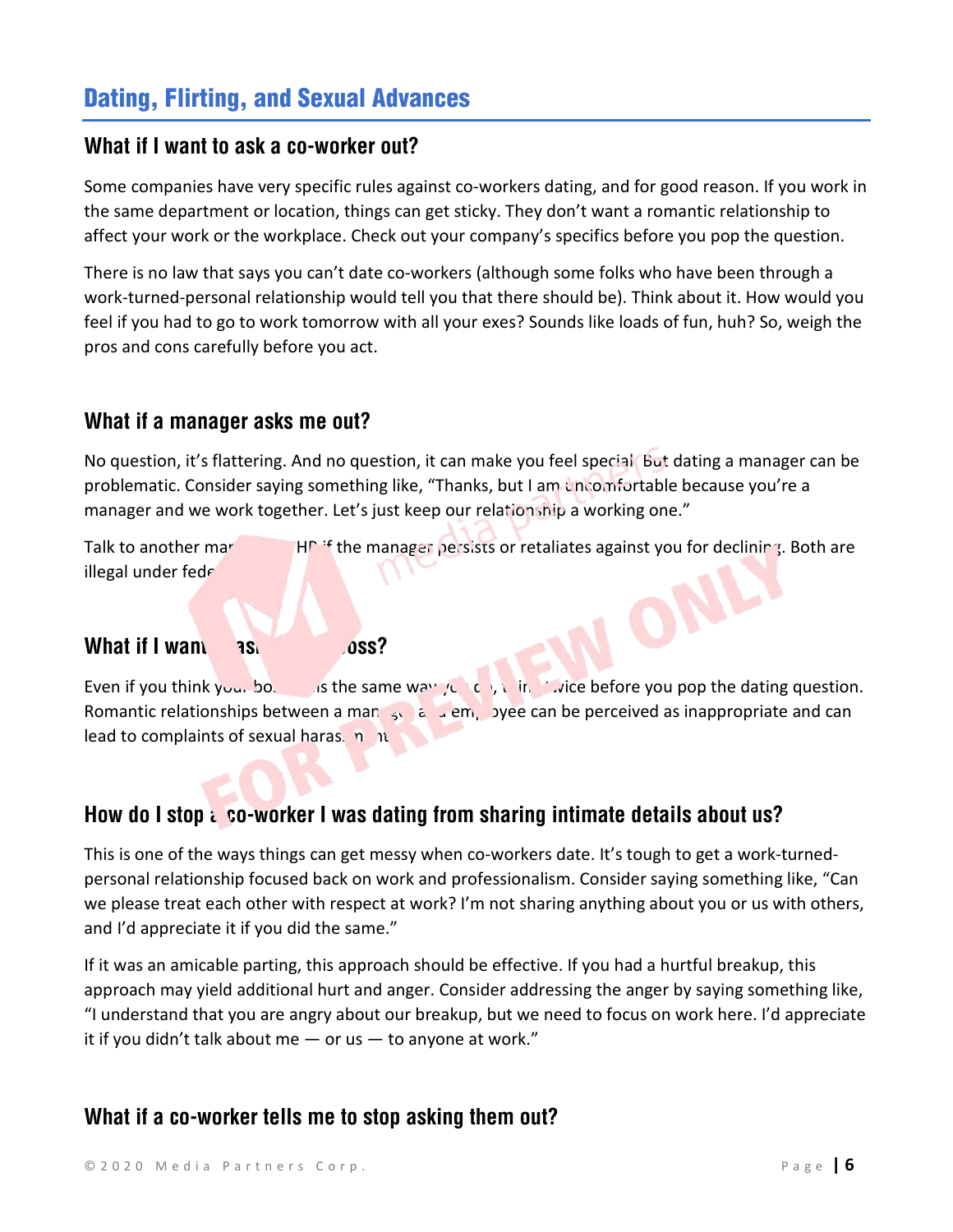# Dating, Flirting, and Sexual Advances

#### **What if I want to ask a co-worker out?**

Some companies have very specific rules against co-workers dating, and for good reason. If you work in the same department or location, things can get sticky. They don't want a romantic relationship to affect your work or the workplace. Check out your company's specifics before you pop the question.

There is no law that says you can't date co-workers (although some folks who have been through a work-turned-personal relationship would tell you that there should be). Think about it. How would you feel if you had to go to work tomorrow with all your exes? Sounds like loads of fun, huh? So, weigh the pros and cons carefully before you act.

#### **What if a manager asks me out?**

No question, it's flattering. And no question, it can make you feel special. But dating a manager can be problematic. Consider saying something like, "Thanks, but I am uncomfortable because you're a manager and we work together. Let's just keep our relationship a working one."

Talk to another manager of the manager persists or retaliates against you for declining. Both are illegal under federal and the manager persists or retaliates against you for declining. Both are illegal under federal and t illegal under fede

#### **What if I want the ass?**

Even if you think your bo. It is the same way you do, this twice before you pop the dating question. Romantic relationships between a manager and employee can be perceived as inappropriate and can lead to complaints of sexual haras. not

#### How do I stop a co-worker I was dating from sharing intimate details about us?

This is one of the ways things can get messy when co-workers date. It's tough to get a work-turnedpersonal relationship focused back on work and professionalism. Consider saying something like, "Can we please treat each other with respect at work? I'm not sharing anything about you or us with others, and I'd appreciate it if you did the same."

If it was an amicable parting, this approach should be effective. If you had a hurtful breakup, this approach may yield additional hurt and anger. Consider addressing the anger by saying something like, "I understand that you are angry about our breakup, but we need to focus on work here. I'd appreciate it if you didn't talk about me  $-$  or us  $-$  to anyone at work."

#### **What if a co-worker tells me to stop asking them out?**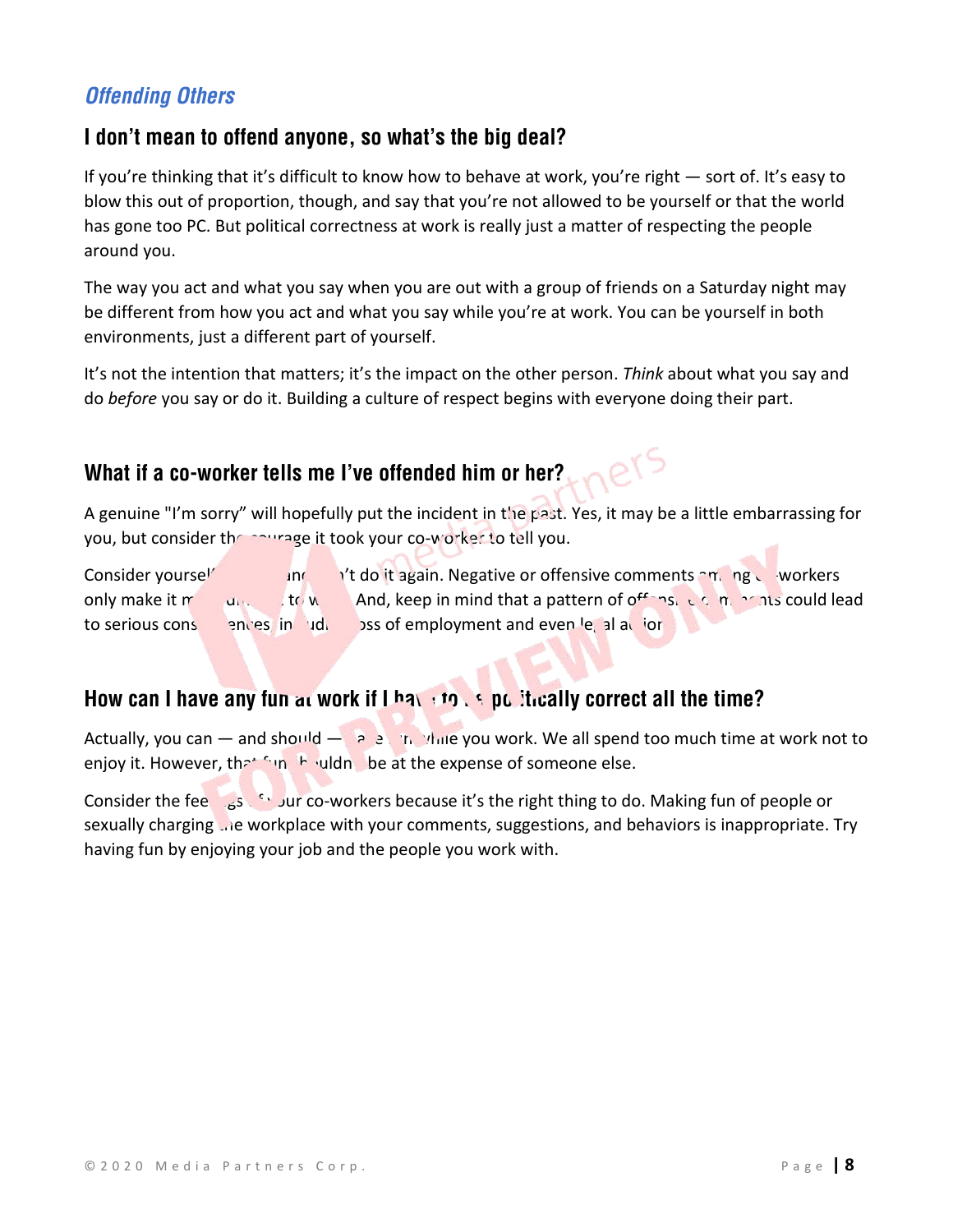# *Offending Others*

## **I don't mean to offend anyone, so what's the big deal?**

If you're thinking that it's difficult to know how to behave at work, you're right — sort of. It's easy to blow this out of proportion, though, and say that you're not allowed to be yourself or that the world has gone too PC. But political correctness at work is really just a matter of respecting the people around you.

The way you act and what you say when you are out with a group of friends on a Saturday night may be different from how you act and what you say while you're at work. You can be yourself in both environments, just a different part of yourself.

It's not the intention that matters; it's the impact on the other person. *Think* about what you say and do *before* you say or do it. Building a culture of respect begins with everyone doing their part.

## **What if a co-worker tells me I've offended him or her?**

A genuine "I'm sorry" will hopefully put the incident in the past. Yes, it may be a little embarrassing for you, but consider the courage it took your co-worker to tell you.

 $\alpha$ 

Consider yourself warned and don't do it again. Negative or offensive comments among co-workers only make it more diffeorer difficult to work. And, keep in mind that a pattern of offensive comments could lead to serious consequences, in cluding loss of employment and even legal action.

## How can I have any fun at work if I have to be pulliveally correct all the time?

Actually, you can — and should  $\ge$  at the ville you work. We all spend too much time at work not to enjoy it. However, the funth vildnt be at the expense of someone else.

Consider the fee  $\frac{1}{165}$  of yur co-workers because it's the right thing to do. Making fun of people or sexually charging the workplace with your comments, suggestions, and behaviors is inappropriate. Try having fun by enjoying your job and the people you work with.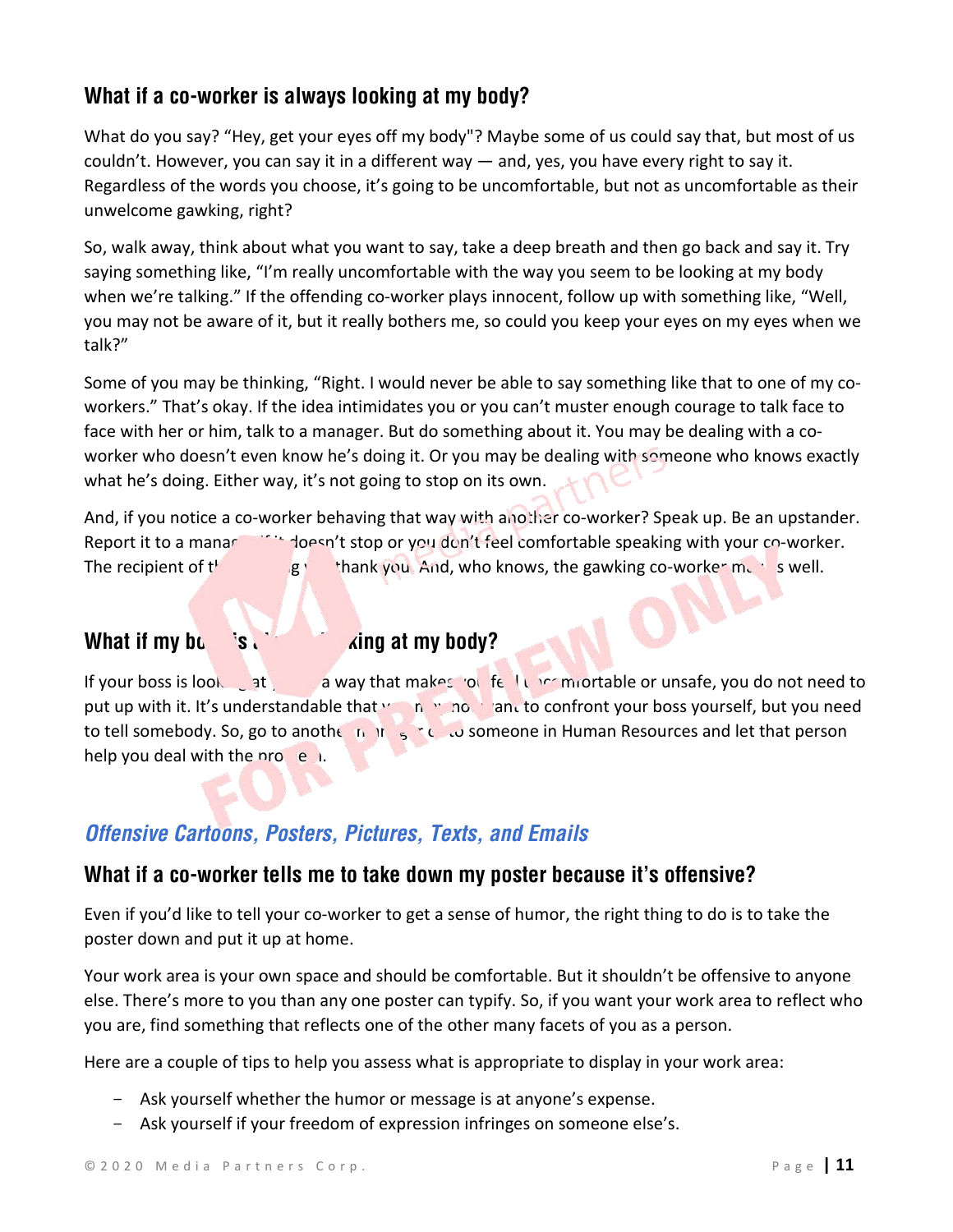## **What if a co-worker is always looking at my body?**

What do you say? "Hey, get your eyes off my body"? Maybe some of us could say that, but most of us couldn't. However, you can say it in a different way — and, yes, you have every right to say it. Regardless of the words you choose, it's going to be uncomfortable, but not as uncomfortable as their unwelcome gawking, right?

So, walk away, think about what you want to say, take a deep breath and then go back and say it. Try saying something like, "I'm really uncomfortable with the way you seem to be looking at my body when we're talking." If the offending co-worker plays innocent, follow up with something like, "Well, you may not be aware of it, but it really bothers me, so could you keep your eyes on my eyes when we talk?"

Some of you may be thinking, "Right. I would never be able to say something like that to one of my coworkers." That's okay. If the idea intimidates you or you can't muster enough courage to talk face to face with her or him, talk to a manager. But do something about it. You may be dealing with a coworker who doesn't even know he's doing it. Or you may be dealing with someone who knows exactly what he's doing. Either way, it's not going to stop on its own.

And, if you notice a co-worker behaving that way with another co-worker? Speak up. Be an upstander. Report it to a manager if it doesn't stop or you don't feel comfortable speaking with your co-worker. The recipient of  $t^k$  gives thank you. And, who knows, the gawking co-worker may as well.

## **What if my bossums is all the same start what if my body?**

If your boss is looking at you a way that makes you fell uncomfortable or unsafe, you do not need to put up with it. It's understandable that  $y_0$  in warp and to confront your boss yourself, but you need to tell somebody. So, go to another manager  $\epsilon$  to someone in Human Resources and let that person help you deal with the problem.

## *Offensive Cartoons, Posters, Pictures, Texts, and Emails*

#### **What if a co-worker tells me to take down my poster because it's offensive?**

Even if you'd like to tell your co-worker to get a sense of humor, the right thing to do is to take the poster down and put it up at home.

Your work area is your own space and should be comfortable. But it shouldn't be offensive to anyone else. There's more to you than any one poster can typify. So, if you want your work area to reflect who you are, find something that reflects one of the other many facets of you as a person.

Here are a couple of tips to help you assess what is appropriate to display in your work area:

- Ask yourself whether the humor or message is at anyone's expense.
- Ask yourself if your freedom of expression infringes on someone else's.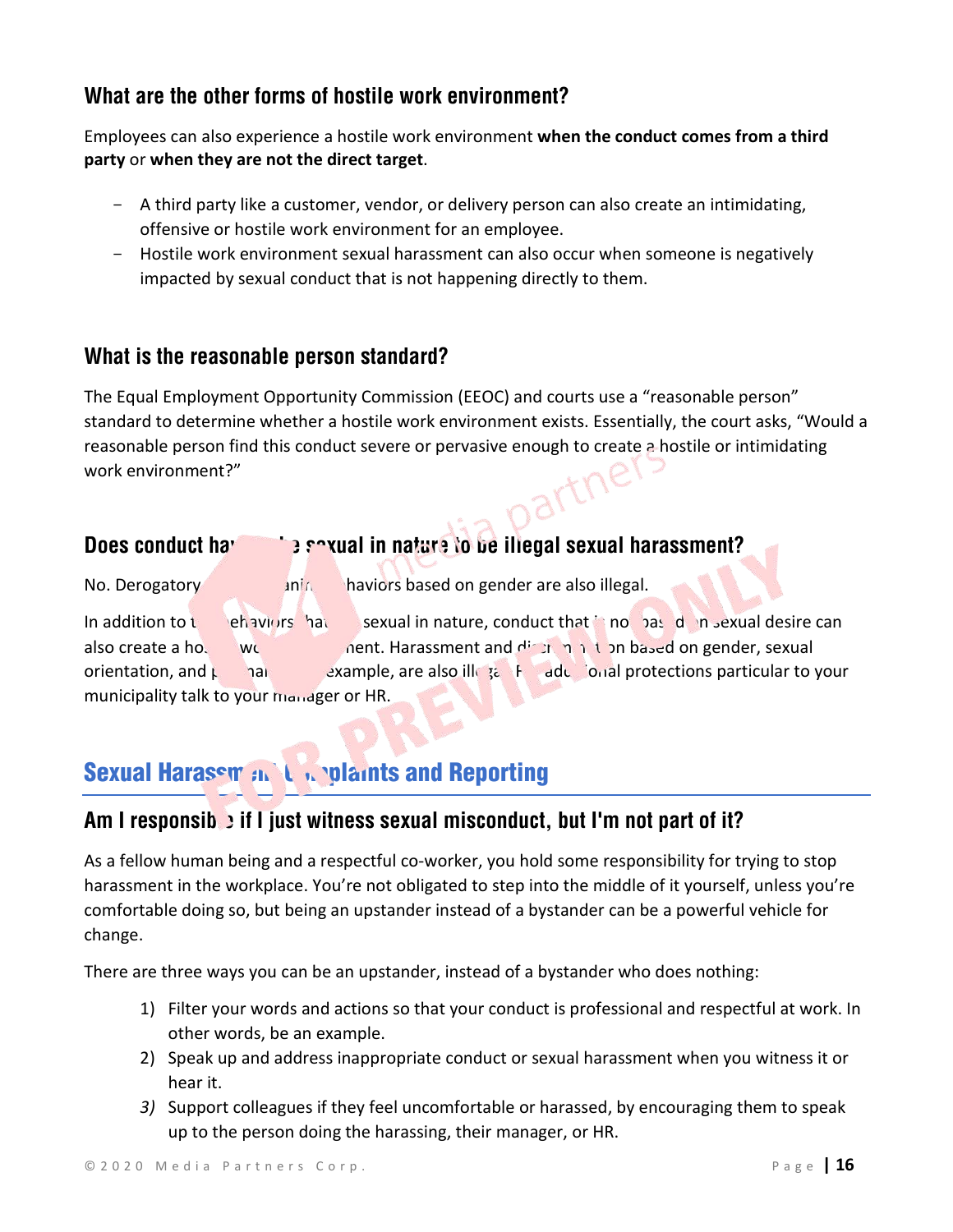## **What are the other forms of hostile work environment?**

Employees can also experience a hostile work environment **when the conduct comes from a third party** or **when they are not the direct target**.

- A third party like a customer, vendor, or delivery person can also create an intimidating, offensive or hostile work environment for an employee.
- Hostile work environment sexual harassment can also occur when someone is negatively impacted by sexual conduct that is not happening directly to them.

## **What is the reasonable person standard?**

The Equal Employment Opportunity Commission (EEOC) and courts use a "reasonable person" standard to determine whether a hostile work environment exists. Essentially, the court asks, "Would a reasonable person find this conduct severe or pervasive enough to create a hostile or intimidating artne work environment?"

# **Does conduct have the sexual in nature to be illegal sexual harassment?**

No. Derogatory **and antiching behaviors based on gender are also illegal.** 

In addition to the behaviors that are sexual in nature, conduct that is not based on sexual desire can also create a hostile work environment. Harassment and discrimination based on gender, sexual orientation, and pregnancy, are also illegal. For a protections particular to your municipality talk to your manager or HR.

# Sexual Harasem and Complaints and Reporting

## Am I responsib<sup>1</sup> if I just witness sexual misconduct, but I'm not part of it?

As a fellow human being and a respectful co-worker, you hold some responsibility for trying to stop harassment in the workplace. You're not obligated to step into the middle of it yourself, unless you're comfortable doing so, but being an upstander instead of a bystander can be a powerful vehicle for change.

There are three ways you can be an upstander, instead of a bystander who does nothing:

- 1) Filter your words and actions so that your conduct is professional and respectful at work. In other words, be an example.
- 2) Speak up and address inappropriate conduct or sexual harassment when you witness it or hear it.
- *3)* Support colleagues if they feel uncomfortable or harassed, by encouraging them to speak up to the person doing the harassing, their manager, or HR.